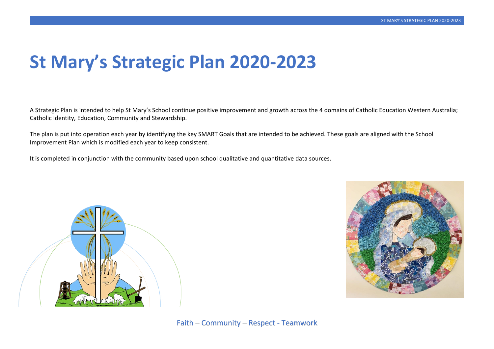# **St Mary's Strategic Plan 2020-2023**

A Strategic Plan is intended to help St Mary's School continue positive improvement and growth across the 4 domains of Catholic Education Western Australia; Catholic Identity, Education, Community and Stewardship.

The plan is put into operation each year by identifying the key SMART Goals that are intended to be achieved. These goals are aligned with the School Improvement Plan which is modified each year to keep consistent.

It is completed in conjunction with the community based upon school qualitative and quantitative data sources.



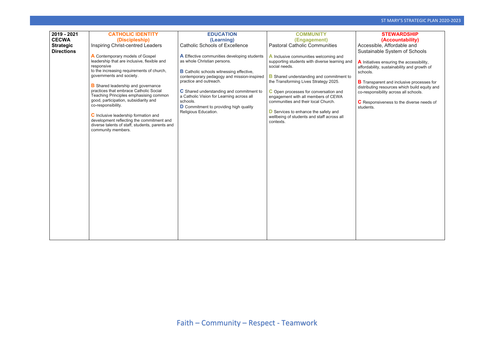### ST MARY'S STRATEGIC PLAN 2020-2023

sparent and inclusive processes for distributing resources which build equity and co-responsibility across all schools.

**Consiveness to the diverse needs of** 

| 2019 - 2021<br><b>CECWA</b><br><b>Strategic</b><br><b>Directions</b> | <b>CATHOLIC IDENTITY</b><br>(Discipleship)<br>Inspiring Christ-centred Leaders<br>A Contemporary models of Gospel<br>leadership that are inclusive, flexible and<br>responsive<br>to the increasing requirements of church,<br>governments and society.<br><b>B</b> Shared leadership and governance<br>practices that embrace Catholic Social<br>Teaching Principles emphasising common<br>good, participation, subsidiarity and<br>co-responsibility.<br>C Inclusive leadership formation and<br>development reflecting the commitment and<br>diverse talents of staff, students, parents and<br>community members. | <b>EDUCATION</b><br>(Learning)<br><b>Catholic Schools of Excellence</b><br>A Effective communities developing students<br>as whole Christian persons.<br><b>B</b> Catholic schools witnessing effective,<br>contemporary pedagogy and mission-inspired<br>practice and outreach.<br>C Shared understanding and commitment to<br>a Catholic Vision for Learning across all<br>schools.<br>D Commitment to providing high quality<br>Religious Education. | <b>COMMUNITY</b><br>(Engagement)<br><b>Pastoral Catholic Communities</b><br>A Inclusive communities welcoming and<br>supporting students with diverse learning and<br>social needs.<br><b>B</b> Shared understanding and commitment to<br>the Transforming Lives Strategy 2025.<br>C Open processes for conversation and<br>engagement with all members of CEWA<br>communities and their local Church.<br><b>D</b> Services to enhance the safety and<br>wellbeing of students and staff across all<br>contexts. | Accessi<br>Sustain<br><b>A</b> Initiativ<br>affordabi<br>schools.<br><b>B</b> Transp<br>distributir<br>co-respo<br><b>C</b> Respo<br>students. |
|----------------------------------------------------------------------|-----------------------------------------------------------------------------------------------------------------------------------------------------------------------------------------------------------------------------------------------------------------------------------------------------------------------------------------------------------------------------------------------------------------------------------------------------------------------------------------------------------------------------------------------------------------------------------------------------------------------|---------------------------------------------------------------------------------------------------------------------------------------------------------------------------------------------------------------------------------------------------------------------------------------------------------------------------------------------------------------------------------------------------------------------------------------------------------|------------------------------------------------------------------------------------------------------------------------------------------------------------------------------------------------------------------------------------------------------------------------------------------------------------------------------------------------------------------------------------------------------------------------------------------------------------------------------------------------------------------|------------------------------------------------------------------------------------------------------------------------------------------------|
|----------------------------------------------------------------------|-----------------------------------------------------------------------------------------------------------------------------------------------------------------------------------------------------------------------------------------------------------------------------------------------------------------------------------------------------------------------------------------------------------------------------------------------------------------------------------------------------------------------------------------------------------------------------------------------------------------------|---------------------------------------------------------------------------------------------------------------------------------------------------------------------------------------------------------------------------------------------------------------------------------------------------------------------------------------------------------------------------------------------------------------------------------------------------------|------------------------------------------------------------------------------------------------------------------------------------------------------------------------------------------------------------------------------------------------------------------------------------------------------------------------------------------------------------------------------------------------------------------------------------------------------------------------------------------------------------------|------------------------------------------------------------------------------------------------------------------------------------------------|

### **STEWARDSHIP (Accountability)**

sible, Affordable and inable System of Schools

**A** Initiatives ensuring the accessibility, affordability, sustainability and growth of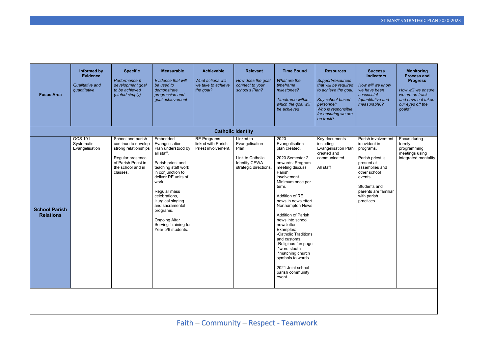| <b>Focus Area</b>                        | <b>Informed by</b><br><b>Evidence</b><br>Qualitative and<br>quantitative | <b>Specific</b><br>Performance &<br>development goal<br>to be achieved<br>(stated simply)                                                    | <b>Measurable</b><br>Evidence that will<br>be used to<br>demonstrate<br>progression and<br>goal achievement                                                                                                                                                                                                                  | <b>Achievable</b><br>What actions will<br>we take to achieve<br>the goal? | <b>Relevant</b><br>How does the goal<br>connect to your<br>school's Plan?                                | <b>Time Bound</b><br>What are the<br>timeframe<br>milestones?<br>Timeframe within<br>which the goal will<br>be achieved                                                                                                                                                                                                                                                                                                                                                     | <b>Resources</b><br>Support/resources<br>that will be required<br>to achieve the goal.<br>Key school-based<br>personnel:<br>Who is responsible<br>for ensuring we are<br>on track? | <b>Success</b><br><b>Indicators</b><br>How will we know<br>we have been<br>successful<br>(quantitative and<br>measurable)?                                                                           | <b>Monitoring</b><br><b>Process and</b><br><b>Progress</b><br>How will we ensure<br>we are on track<br>and have not taken<br>our eyes off the<br>goals? |
|------------------------------------------|--------------------------------------------------------------------------|----------------------------------------------------------------------------------------------------------------------------------------------|------------------------------------------------------------------------------------------------------------------------------------------------------------------------------------------------------------------------------------------------------------------------------------------------------------------------------|---------------------------------------------------------------------------|----------------------------------------------------------------------------------------------------------|-----------------------------------------------------------------------------------------------------------------------------------------------------------------------------------------------------------------------------------------------------------------------------------------------------------------------------------------------------------------------------------------------------------------------------------------------------------------------------|------------------------------------------------------------------------------------------------------------------------------------------------------------------------------------|------------------------------------------------------------------------------------------------------------------------------------------------------------------------------------------------------|---------------------------------------------------------------------------------------------------------------------------------------------------------|
|                                          |                                                                          |                                                                                                                                              |                                                                                                                                                                                                                                                                                                                              | <b>Catholic Identity</b>                                                  |                                                                                                          |                                                                                                                                                                                                                                                                                                                                                                                                                                                                             |                                                                                                                                                                                    |                                                                                                                                                                                                      |                                                                                                                                                         |
| <b>School Parish</b><br><b>Relations</b> | QCS 101<br>Systematic<br>Evangelisation                                  | School and parish<br>continue to develop<br>strong relationships<br>Regular presence<br>of Parish Priest in<br>the school and in<br>classes. | Embedded<br>Evangelisation<br>Plan understood by<br>all staff.<br>Parish priest and<br>teaching staff work<br>in conjunction to<br>deliver RE units of<br>work.<br>Regular mass<br>celebrations,<br>liturgical singing<br>and sacramental<br>programs.<br><b>Ongoing Altar</b><br>Serving Training for<br>Year 5/6 students. | <b>RE Programs</b><br>linked with Parish<br>Priest involvement.           | Linked to<br>Evangelisation<br>Plan<br>Link to Catholic<br><b>Identity CEWA</b><br>strategic directions. | 2020<br>Evangelisation<br>plan created.<br>2020 Semester 2<br>onwards: Program<br>meeting discuss<br>Parish<br>involvement.<br>Minimum once per<br>term.<br>Addition of RE<br>news in newsletter/<br>Northampton News<br><b>Addition of Parish</b><br>news into school<br>newsletter<br>Examples:<br>-Catholic Traditions<br>and customs.<br>-Religious fun page<br>*word sleuth<br>*matching church<br>symbols to words<br>2021 Joint school<br>parish community<br>event. | Key documents<br>including<br><b>Evangelisation Plan</b><br>created and<br>communicated.<br>All staff                                                                              | Parish involvement<br>is evident in<br>programs.<br>Parish priest is<br>present at<br>assemblies and<br>other school<br>events.<br>Students and<br>parents are familiar<br>with parish<br>practices. | Focus during<br>termly<br>programming<br>meetings using<br>integrated mentality                                                                         |
|                                          |                                                                          |                                                                                                                                              |                                                                                                                                                                                                                                                                                                                              |                                                                           |                                                                                                          |                                                                                                                                                                                                                                                                                                                                                                                                                                                                             |                                                                                                                                                                                    |                                                                                                                                                                                                      |                                                                                                                                                         |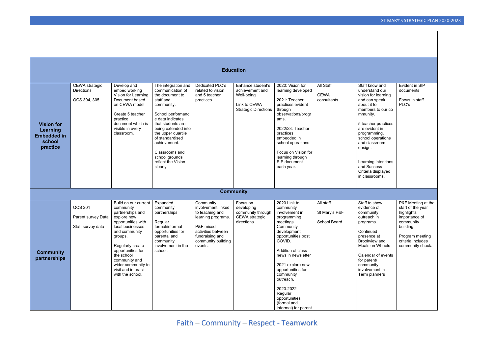# Faith – Community – Respect - Teamwork

| <b>Education</b>                                                          |                                                            |                                                                                                                                                                                                                                                                                    |                                                                                                                                                                                                                                                                                                          |                                                                                                                                                                 |                                                                                                   |                                                                                                                                                                                                                                                                                                                                   |                                            |                                                                                                                                                                                                                                                                                                                  |                                                                                                                                                              |
|---------------------------------------------------------------------------|------------------------------------------------------------|------------------------------------------------------------------------------------------------------------------------------------------------------------------------------------------------------------------------------------------------------------------------------------|----------------------------------------------------------------------------------------------------------------------------------------------------------------------------------------------------------------------------------------------------------------------------------------------------------|-----------------------------------------------------------------------------------------------------------------------------------------------------------------|---------------------------------------------------------------------------------------------------|-----------------------------------------------------------------------------------------------------------------------------------------------------------------------------------------------------------------------------------------------------------------------------------------------------------------------------------|--------------------------------------------|------------------------------------------------------------------------------------------------------------------------------------------------------------------------------------------------------------------------------------------------------------------------------------------------------------------|--------------------------------------------------------------------------------------------------------------------------------------------------------------|
| <b>Vision for</b><br>Learning<br><b>Embedded in</b><br>school<br>practice | <b>CEWA</b> strategic<br><b>Directions</b><br>QCS 304, 305 | Develop and<br>embed working<br>Vision for Learning<br>Document based<br>on CEWA model.<br>Create 5 teacher<br>practice<br>document which is<br>visible in every<br>classroom.                                                                                                     | The integration and<br>communication of<br>the document to<br>staff and<br>community.<br>School performanc<br>e data indicates<br>that students are<br>being extended into<br>the upper quartile<br>of standardised<br>achievement.<br>Classrooms and<br>school grounds<br>reflect the Vision<br>clearly | Dedicated PLC's<br>related to vision<br>and 5 teacher<br>practices.                                                                                             | Enhance student's<br>achievement and<br>Well-being<br>Link to CEWA<br><b>Strategic Directions</b> | 2020: Vision for<br>learning developed<br>2021: Teacher<br>practices evident<br>through<br>observations/progr<br>ams.<br>2022/23: Teacher<br>practices<br>embedded in<br>school operations<br>Focus on Vision for<br>learning through<br>SIP document<br>each year.                                                               | All Staff<br><b>CEWA</b><br>consultants.   | Staff know and<br>understand our<br>vision for learning<br>and can speak<br>about it to<br>members to our co<br>mmunity.<br>5 teacher practices<br>are evident in<br>programming,<br>school operations<br>and classroom<br>design.<br>Learning intentions<br>and Success<br>Criteria displayed<br>in classrooms. | Evident in SIP<br>documents<br>Focus in staff<br>PLC's                                                                                                       |
|                                                                           |                                                            |                                                                                                                                                                                                                                                                                    |                                                                                                                                                                                                                                                                                                          | <b>Community</b>                                                                                                                                                |                                                                                                   |                                                                                                                                                                                                                                                                                                                                   |                                            |                                                                                                                                                                                                                                                                                                                  |                                                                                                                                                              |
| <b>Community</b><br>partnerships                                          | QCS 201<br>Parent survey Data<br>Staff survey data         | Build on our current<br>community<br>partnerships and<br>explore new<br>opportunities with<br>local businesses<br>and community<br>groups.<br>Regularly create<br>opportunities for<br>the school<br>community and<br>wider community to<br>visit and interact<br>with the school. | Expanded<br>community<br>partnerships<br>Regular<br>formal/informal<br>opportunities for<br>parental and<br>community<br>involvement in the<br>school.                                                                                                                                                   | Community<br>involvement linked<br>to teaching and<br>learning programs.<br>P&F mixed<br>activities between<br>fundraising and<br>community building<br>events. | Focus on<br>developing<br>community through<br>CEWA strategic<br>directions                       | 2020 Link to<br>community<br>involvement in<br>programming<br>meetings.<br>Community<br>development<br>opportunities post<br>COVID.<br>Addition of class<br>news in newsletter<br>2021 explore new<br>opportunities for<br>community<br>outreach.<br>2020-2022<br>Regular<br>opportunities<br>(formal and<br>informal) for parent | All staff<br>St Mary's P&F<br>School Board | Staff to show<br>evidence of<br>community<br>outreach in<br>programs.<br>Continued<br>presence at<br>Brookview and<br>Meals on Wheels<br>Calendar of events<br>for parent/<br>community<br>involvement in<br>Term planners                                                                                       | P&F Meeting at the<br>start of the year<br>highlights<br>importance of<br>community<br>building.<br>Program meeting<br>criteria includes<br>community check. |